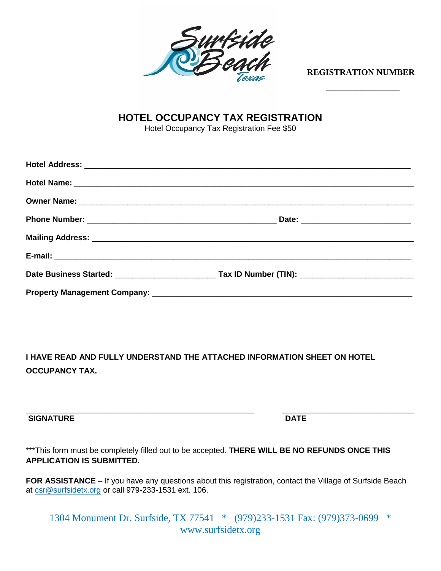

**REGISTRATION NUMBER**

\_\_\_\_\_\_\_\_\_\_\_\_\_\_\_\_\_

## **HOTEL OCCUPANCY TAX REGISTRATION**

Hotel Occupancy Tax Registration Fee \$50

**I HAVE READ AND FULLY UNDERSTAND THE ATTACHED INFORMATION SHEET ON HOTEL OCCUPANCY TAX.** 

## **SIGNATURE DATE**

\_\_\_\_\_\_\_\_\_\_\_\_\_\_\_\_\_\_\_\_\_\_\_\_\_\_\_\_\_\_\_\_\_\_\_\_\_\_\_\_\_\_\_\_\_\_\_\_\_\_\_\_\_\_\_\_\_ \_\_\_\_\_\_\_\_\_\_\_\_\_\_\_\_\_\_\_\_\_\_\_\_\_\_\_\_\_\_\_\_\_

\*\*\*This form must be completely filled out to be accepted. **THERE WILL BE NO REFUNDS ONCE THIS APPLICATION IS SUBMITTED.** 

FOR ASSISTANCE – If you have any questions about this registration, contact the Village of Surfside Beach at [csr@surfsidetx.org](mailto:csr@surfsidetx.org) or call 979-233-1531 ext. 106.

1304 Monument Dr. Surfside, TX 77541 \* (979)233-1531 Fax: (979)373-0699 \* www.surfsidetx.org